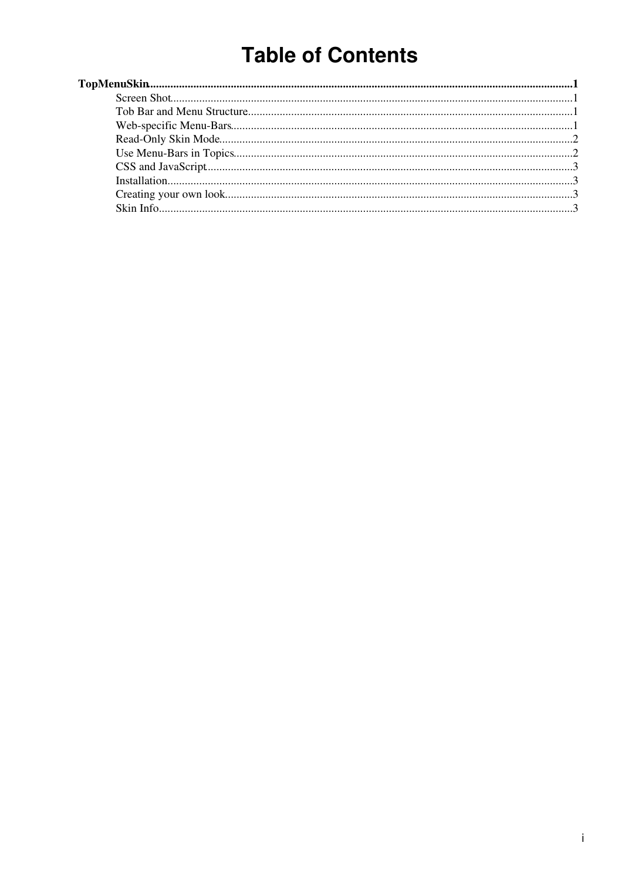# **Table of Contents**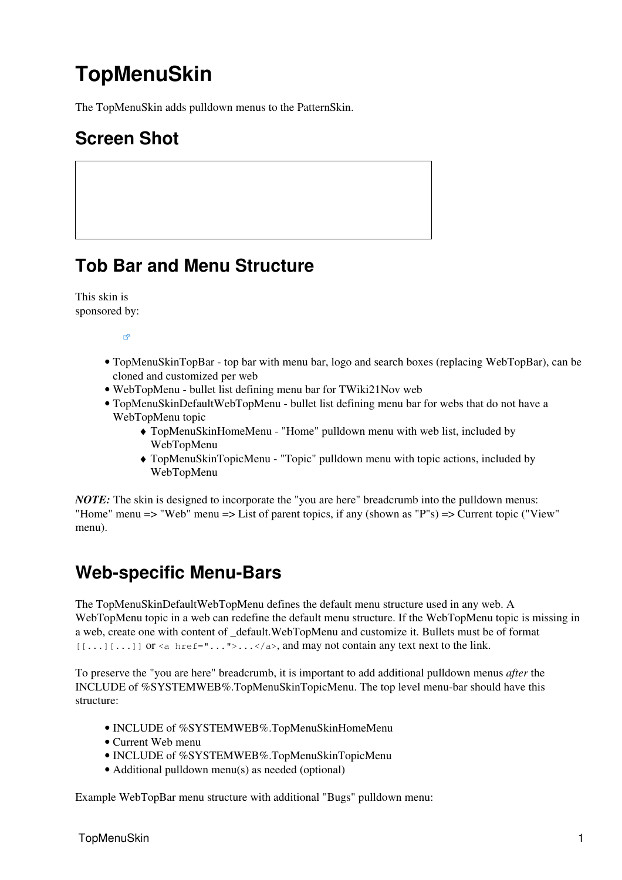# <span id="page-1-0"></span>**TopMenuSkin**

The TopMenuSkin adds pulldown menus to the [PatternSkin.](https://twiki.cern.ch/twiki/bin/view/TWiki21Nov/PatternSkin)

# <span id="page-1-1"></span>**Screen Shot**

### <span id="page-1-2"></span>**Tob Bar and Menu Structure**

This skin is [sponsored by](http://twiki.net/?ref=twiki.org/topmenuskin.logo):

 $\mathbb{R}^2$ 

- TopMenuSkinTopBar top bar with menu bar, logo and search boxes (replacing [WebTopBar\)](https://twiki.cern.ch/twiki/bin/view/TWiki21Nov/WebTopBar), can be cloned and customized per web
- [WebTopMenu](https://twiki.cern.ch/twiki/bin/view/TWiki21Nov/WebTopMenu) bullet list defining menu bar for [TWiki21Nov](https://twiki.cern.ch/twiki/bin/edit/TWiki21Nov/TWiki21Nov?topicparent=TWiki21Nov.TopMenuSkin;nowysiwyg=1) web
- TopMenuSkinDefaultWebTopMenu bullet list defining menu bar for webs that do not have a WebTopMenu topic
	- TopMenuSkinHomeMenu "Home" pulldown menu with web list, included by ♦ WebTopMenu
	- TopMenuSkinTopicMenu "Topic" pulldown menu with topic actions, included by ♦ WebTopMenu

*NOTE*: The skin is designed to incorporate the "you are here" breadcrumb into the pulldown menus: "Home" menu => "Web" menu => List of parent topics, if any (shown as "P"s) => Current topic ("View" menu).

# <span id="page-1-3"></span>**Web-specific Menu-Bars**

The TopMenuSkinDefaultWebTopMenu defines the default menu structure used in any web. A WebTopMenu topic in a web can redefine the default menu structure. If the WebTopMenu topic is missing in a web, create one with content of [\\_default.WebTopMenu](https://twiki.cern.ch/twiki/bin/edit/_default/WebTopMenu?topicparent=TWiki21Nov.TopMenuSkin;nowysiwyg=1) and customize it. Bullets must be of format  $[1 \ldots] [\ldots]$  or  $\le a$  href="...">... $\le a$ , and may not contain any text next to the link.

To preserve the "you are here" breadcrumb, it is important to add additional pulldown menus *after* the INCLUDE of %SYSTEMWEB%.TopMenuSkinTopicMenu. The top level menu-bar should have this structure:

- INCLUDE of %SYSTEMWEB%.TopMenuSkinHomeMenu
- Current Web menu
- INCLUDE of %SYSTEMWEB%.TopMenuSkinTopicMenu
- Additional pulldown menu(s) as needed (optional)

Example WebTopBar menu structure with additional "Bugs" pulldown menu: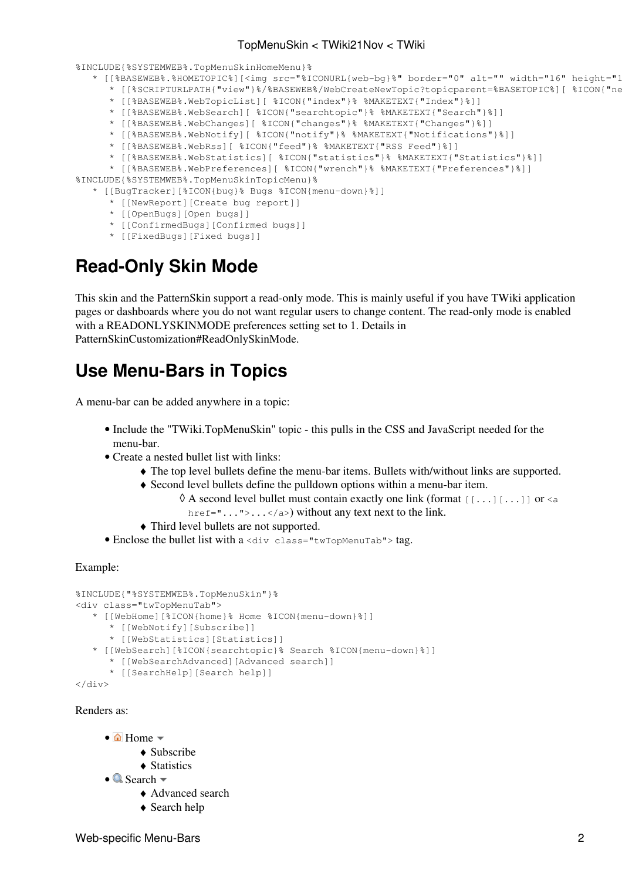#### TopMenuSkin < TWiki21Nov < TWiki

%INCLUDE{%SYSTEMWEB%.TopMenuSkinHomeMenu}%

```
* [[%BASEWEB%.%HOMETOPIC%][<imq src="%ICONURL{web-bq}%" border="0" alt="" width="16" height="1
```
- \* [[%SCRIPTURLPATH{"view"}%/%BASEWEB%/WebCreateNewTopic?topicparent=%BASETOPIC%][ %ICON{"ne
- \* [[%BASEWEB%.WebTopicList][ %ICON{"index"}% %MAKETEXT{"Index"}%]]
- \* [[%BASEWEB%.WebSearch][ %ICON{"searchtopic"}% %MAKETEXT{"Search"}%]] \* [[%BASEWEB%.WebChanges][ %ICON{"changes"}% %MAKETEXT{"Changes"}%]]
- \* [[%BASEWEB%.WebNotify][ %ICON{"notify"}% %MAKETEXT{"Notifications"}%]]
- \* [[%BASEWEB%.WebRss][ %ICON{"feed"}% %MAKETEXT{"RSS Feed"}%]]
- 
- \* [[%BASEWEB%.WebStatistics][ %ICON{"statistics"}% %MAKETEXT{"Statistics"}%]] \* [[%BASEWEB%.WebPreferences][ %ICON{"wrench"}% %MAKETEXT{"Preferences"}%]]

%INCLUDE{%SYSTEMWEB%.TopMenuSkinTopicMenu}%

\* [[BugTracker][%ICON{bug}% Bugs %ICON{menu-down}%]]

- \* [[NewReport][Create bug report]]
- \* [[OpenBugs][Open bugs]]
- \* [[ConfirmedBugs][Confirmed bugs]]
- \* [[FixedBugs][Fixed bugs]]

# <span id="page-2-0"></span>**Read-Only Skin Mode**

This skin and the [PatternSkin](https://twiki.cern.ch/twiki/bin/view/TWiki21Nov/PatternSkin) support a read-only mode. This is mainly useful if you have TWiki application pages or dashboards where you do not want regular users to change content. The read-only mode is enabled with a READONLYSKINMODE preferences setting set to 1. Details in [PatternSkinCustomization#ReadOnlySkinMode.](https://twiki.cern.ch/twiki/bin/view/TWiki/PatternSkinCustomization#ReadOnlySkinMode)

### <span id="page-2-1"></span>**Use Menu-Bars in Topics**

A menu-bar can be added anywhere in a topic:

- Include the "TWiki.TopMenuSkin" topic this pulls in the CSS and JavaScript needed for the menu-bar.
- Create a nested bullet list with links:
	- ♦ The top level bullets define the menu-bar items. Bullets with/without links are supported.
	- Second level bullets define the pulldown options within a menu-bar item. ♦
		- $\Diamond$  A second level bullet must contain exactly one link (format [[...][...]] or  $\triangle$ href=" $\dots$ "> $\dots$  </a>) without any text next to the link.
	- ♦ Third level bullets are not supported.
- Enclose the bullet list with a <div class="twTopMenuTab"> tag.

#### Example:

```
%INCLUDE{"%SYSTEMWEB%.TopMenuSkin"}%
<div class="twTopMenuTab">
    * [[WebHome][%ICON{home}% Home %ICON{menu-down}%]]
        * [[WebNotify][Subscribe]]
       * [[WebStatistics][Statistics]]
    * [[WebSearch][%ICON{searchtopic}% Search %ICON{menu-down}%]]
       * [[WebSearchAdvanced][Advanced search]]
       * [[SearchHelp][Search help]]
</div>
```
Renders as:

- $\hat{\Omega}$  Home
	- $\triangle$  [Subscribe](https://twiki.cern.ch/twiki/bin/view/TWiki21Nov/WebNotify)
	- ♦ [Statistics](https://twiki.cern.ch/twiki/bin/view/TWiki21Nov/WebStatistics)
- **Q** Search
	- ♦ [Advanced search](https://twiki.cern.ch/twiki/bin/view/TWiki21Nov/WebSearchAdvanced)
	- ♦ [Search help](https://twiki.cern.ch/twiki/bin/view/TWiki21Nov/SearchHelp)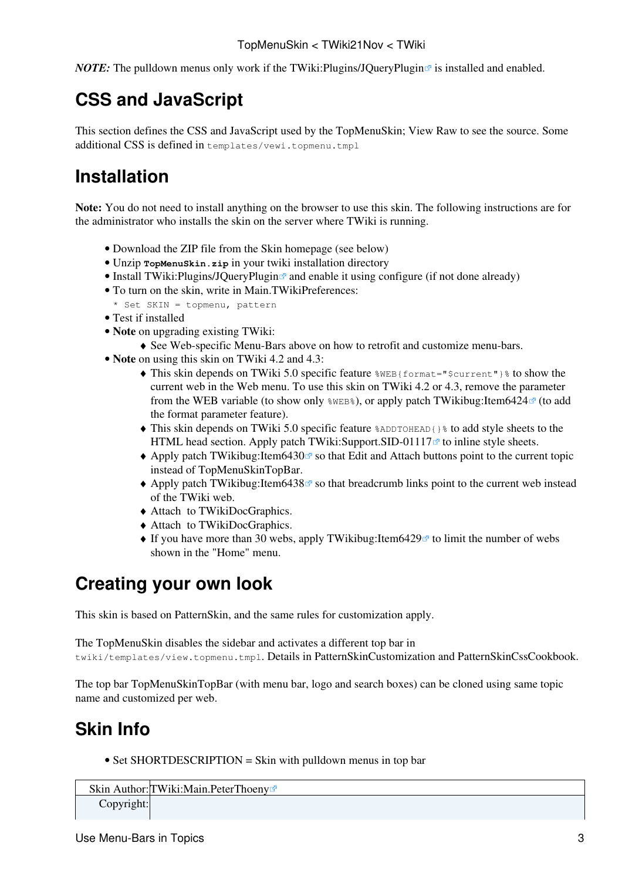*NOTE:* The pulldown menus only work if the TWiki: Plugins/JQueryPlugin  $\mathbb{F}$  is installed and enabled.

# <span id="page-3-0"></span>**CSS and JavaScript**

This section defines the CSS and JavaScript used by the TopMenuSkin; View Raw to see the source. Some additional CSS is defined in templates/vewi.topmenu.tmpl

# <span id="page-3-1"></span>**Installation**

**Note:** You do not need to install anything on the browser to use this skin. The following instructions are for the administrator who installs the skin on the server where TWiki is running.

- Download the ZIP file from the Skin homepage (see below)
- Unzip **TopMenuSkin.zip** in your twiki installation directory
- Install TWiki: Plugins/JQuery Plugin  $\mathbb{F}$  and enable it using configure (if not done already)
- To turn on the skin, write in Main.TWikiPreferences: •
- \* Set SKIN = topmenu, pattern
- Test if installed
- **Note** on upgrading existing TWiki: •
- ♦ See Web-specific Menu-Bars above on how to retrofit and customize menu-bars.
- **Note** on using this skin on TWiki 4.2 and 4.3:
	- $\blacklozenge$  This skin depends on TWiki 5.0 specific feature  $\text{\%}$ WEB{format=" $\text{\%}$ current"} $\text{\%}$  to show the current web in the Web menu. To use this skin on TWiki 4.2 or 4.3, remove the parameter from the WEB variable (to show only  $\text{WEE}\$ ), or apply patch TWikibug:Item6424 $\text{C}$  (to add the format parameter feature).
	- This skin depends on TWiki 5.0 specific feature %ADDTOHEAD{}% to add style sheets to the ♦ HTML head section. Apply patch [TWiki:Support.SID-01117](http://twiki.org/cgi-bin/view/Support/SID-01117) $\sigma$  to inline style sheets.
	- ◆ Apply patch [TWikibug:Item6430](http://develop.twiki.org/~twiki4/cgi-bin/view/Bugs/Item6430) <sup>®</sup> so that Edit and Attach buttons point to the current topic instead of TopMenuSkinTopBar.
	- Apply patch TWikibug: Item6438<sup>®</sup> so that breadcrumb links point to the current web instead of the TWiki web.
	- ♦ Attach to [TWikiDocGraphics.](https://twiki.cern.ch/twiki/bin/view/TWiki/TWikiDocGraphics)
	- ♦ Attach to [TWikiDocGraphics.](https://twiki.cern.ch/twiki/bin/view/TWiki/TWikiDocGraphics)
	- ◆ If you have more than 30 webs, apply [TWikibug:Item6429](http://develop.twiki.org/~twiki4/cgi-bin/view/Bugs/Item6429) **e** to limit the number of webs shown in the "Home" menu.

# <span id="page-3-2"></span>**Creating your own look**

This skin is based on [PatternSkin](https://twiki.cern.ch/twiki/bin/view/TWiki21Nov/PatternSkin), and the same rules for customization apply.

The TopMenuSkin disables the sidebar and activates a different top bar in

twiki/templates/view.topmenu.tmpl. Details in [PatternSkinCustomization](https://twiki.cern.ch/twiki/bin/view/TWiki21Nov/PatternSkinCustomization) and [PatternSkinCssCookbook.](https://twiki.cern.ch/twiki/bin/view/TWiki21Nov/PatternSkinCssCookbook)

The top bar TopMenuSkinTopBar (with menu bar, logo and search boxes) can be cloned using same topic name and customized per web.

### <span id="page-3-3"></span>**Skin Info**

• Set SHORTDESCRIPTION = Skin with pulldown menus in top bar

```
Skin Author: TWiki: Main. PeterThoeny<sup>®</sup>
```
Copyright: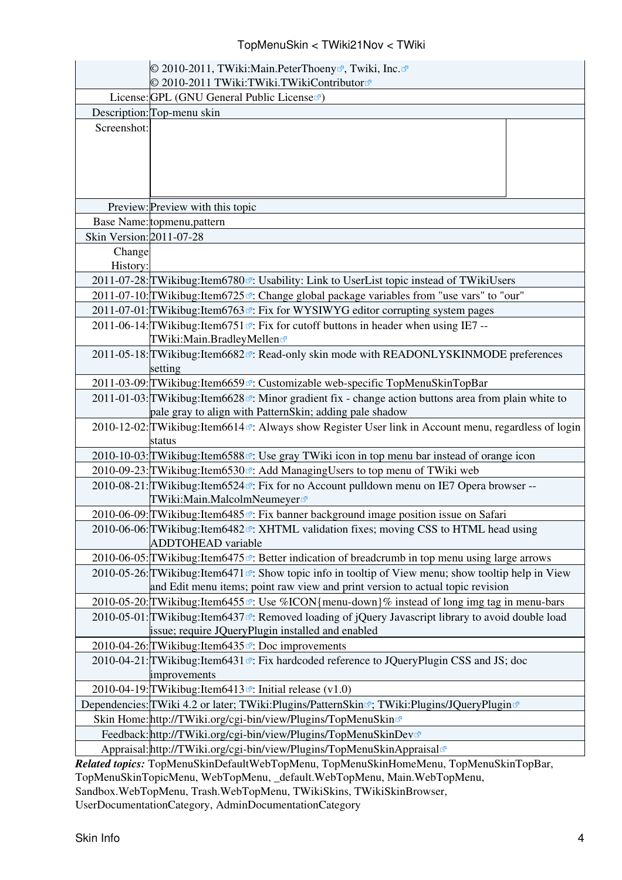#### TopMenuSkin < TWiki21Nov < TWiki

|                                                                                              | © 2010-2011, TWiki:Main.PeterThoeny <sup>®</sup> , Twiki, Inc. <sup>®</sup><br>© 2010-2011 TWiki:TWiki.TWikiContributor <sup>®</sup>                                                               |  |
|----------------------------------------------------------------------------------------------|----------------------------------------------------------------------------------------------------------------------------------------------------------------------------------------------------|--|
|                                                                                              | License: GPL (GNU General Public License                                                                                                                                                           |  |
|                                                                                              | Description: Top-menu skin                                                                                                                                                                         |  |
| Screenshot:                                                                                  |                                                                                                                                                                                                    |  |
|                                                                                              | Preview: Preview with this topic                                                                                                                                                                   |  |
|                                                                                              | Base Name: topmenu, pattern                                                                                                                                                                        |  |
| Skin Version: 2011-07-28                                                                     |                                                                                                                                                                                                    |  |
| Change<br>History:                                                                           |                                                                                                                                                                                                    |  |
|                                                                                              | 2011-07-28: TWikibug: Item 6780 <sup>®</sup> : Usability: Link to UserList topic instead of TWikiUsers                                                                                             |  |
|                                                                                              | 2011-07-10: TWikibug: Item 6725 <sup>®</sup> : Change global package variables from "use vars" to "our"                                                                                            |  |
|                                                                                              | 2011-07-01: TWikibug: Item6763 <sup>®</sup> : Fix for WYSIWYG editor corrupting system pages                                                                                                       |  |
|                                                                                              | 2011-06-14: TWikibug: Item 6751 <sup><math>\alpha</math></sup> : Fix for cutoff buttons in header when using IE7 --<br>TWiki: Main. Bradley Mellen                                                 |  |
|                                                                                              | 2011-05-18: TWikibug: Item6682 <sup>®</sup> : Read-only skin mode with READONLYSKINMODE preferences<br>setting                                                                                     |  |
|                                                                                              | 2011-03-09: TWikibug: Item 6659 <sup>®</sup> : Customizable web-specific TopMenuSkinTopBar                                                                                                         |  |
|                                                                                              | 2011-01-03: TWikibug: Item 6628 <sup><math>\alpha</math></sup> : Minor gradient fix - change action buttons area from plain white to<br>pale gray to align with PatternSkin; adding pale shadow    |  |
|                                                                                              | 2010-12-02: TWikibug: Item6614 <sup>®</sup> : Always show Register User link in Account menu, regardless of login<br>status                                                                        |  |
|                                                                                              | 2010-10-03: TWikibug: Item 6588 <sup><math>\alpha</math></sup> : Use gray TWiki icon in top menu bar instead of orange icon                                                                        |  |
|                                                                                              | 2010-09-23: TWikibug: Item 6530 <sup>®</sup> : Add Managing Users to top menu of TWiki web                                                                                                         |  |
|                                                                                              | 2010-08-21: TWikibug: Item 6524 <sup>®</sup> : Fix for no Account pulldown menu on IE7 Opera browser --<br>TWiki:Main.MalcolmNeumeyer <sup>®</sup>                                                 |  |
|                                                                                              | 2010-06-09: TWikibug: Item 6485 <sup>®</sup> : Fix banner background image position issue on Safari                                                                                                |  |
|                                                                                              | 2010-06-06: TWikibug: Item6482 <sup>®</sup> : XHTML validation fixes; moving CSS to HTML head using<br><b>ADDTOHEAD</b> variable                                                                   |  |
|                                                                                              | 2010-06-05: TWikibug: Item 6475 <sup><math>\alpha</math></sup> : Better indication of breadcrumb in top menu using large arrows                                                                    |  |
|                                                                                              | 2010-05-26: TWikibug: Item6471 <sup>®</sup> : Show topic info in tooltip of View menu; show tooltip help in View<br>and Edit menu items; point raw view and print version to actual topic revision |  |
|                                                                                              | 2010-05-20: TWikibug: Item6455 <sup>®</sup> : Use %ICON{menu-down}% instead of long img tag in menu-bars                                                                                           |  |
|                                                                                              | 2010-05-01: TWikibug: Item6437 <sup>®</sup> : Removed loading of jQuery Javascript library to avoid double load<br>issue; require JQueryPlugin installed and enabled                               |  |
|                                                                                              | 2010-04-26: TWikibug: Item6435 <sup>®</sup> : Doc improvements                                                                                                                                     |  |
|                                                                                              | 2010-04-21: TWikibug: Item 6431 <sup><math>\sigma</math></sup> : Fix hardcoded reference to JQueryPlugin CSS and JS; doc<br>improvements                                                           |  |
|                                                                                              | 2010-04-19: TWikibug: Item 6413 <sup><math>\alpha</math></sup> : Initial release (v1.0)                                                                                                            |  |
| Dependencies: TWiki 4.2 or later; TWiki: Plugins/PatternSkin®; TWiki: Plugins/JQuery Plugin® |                                                                                                                                                                                                    |  |
| Skin Home: http://TWiki.org/cgi-bin/view/Plugins/TopMenuSkin¤                                |                                                                                                                                                                                                    |  |
|                                                                                              | Feedback: http://TWiki.org/cgi-bin/view/Plugins/TopMenuSkinDev                                                                                                                                     |  |
|                                                                                              | Appraisal: http://TWiki.org/cgi-bin/view/Plugins/TopMenuSkinAppraisal                                                                                                                              |  |

*Related topics:* TopMenuSkinDefaultWebTopMenu, TopMenuSkinHomeMenu, TopMenuSkinTopBar, TopMenuSkinTopicMenu, [WebTopMenu](https://twiki.cern.ch/twiki/bin/view/TWiki21Nov/WebTopMenu), [\\_default.WebTopMenu,](https://twiki.cern.ch/twiki/bin/edit/_default/WebTopMenu?topicparent=TWiki21Nov.TopMenuSkin;nowysiwyg=1) [Main.WebTopMenu,](https://twiki.cern.ch/twiki/bin/edit/Main/WebTopMenu?topicparent=TWiki21Nov.TopMenuSkin;nowysiwyg=1) [Sandbox.WebTopMenu](https://twiki.cern.ch/twiki/bin/view/Sandbox/WebTopMenu), [Trash.WebTopMenu,](https://twiki.cern.ch/twiki/bin/edit/Trash/WebTopMenu?topicparent=TWiki21Nov.TopMenuSkin;nowysiwyg=1) [TWikiSkins,](https://twiki.cern.ch/twiki/bin/view/TWiki/TWikiSkins) [TWikiSkinBrowser](https://twiki.cern.ch/twiki/bin/view/TWiki/TWikiSkinBrowser), [UserDocumentationCategory,](https://twiki.cern.ch/twiki/bin/view/TWiki/UserDocumentationCategory) [AdminDocumentationCategory](https://twiki.cern.ch/twiki/bin/view/TWiki/AdminDocumentationCategory)